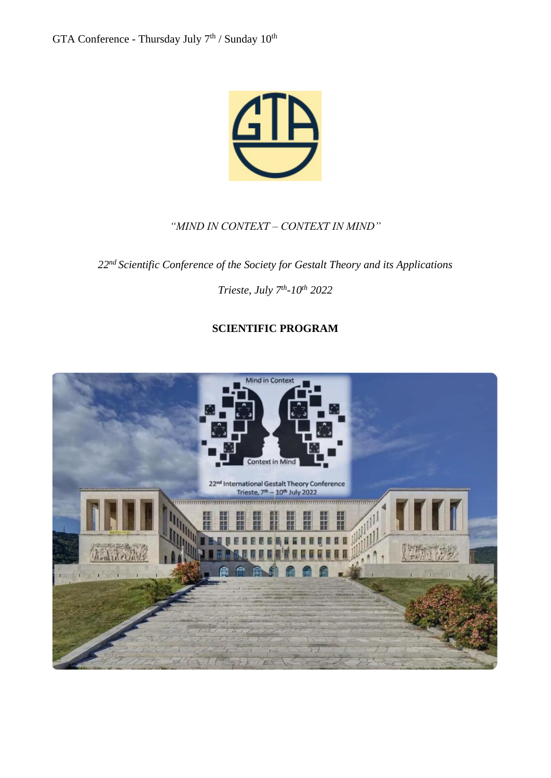

#### *"MIND IN CONTEXT – CONTEXT IN MIND"*

*22nd Scientific Conference of the Society for Gestalt Theory and its Applications*

*Trieste, July 7th -10th 2022*

## **SCIENTIFIC PROGRAM**

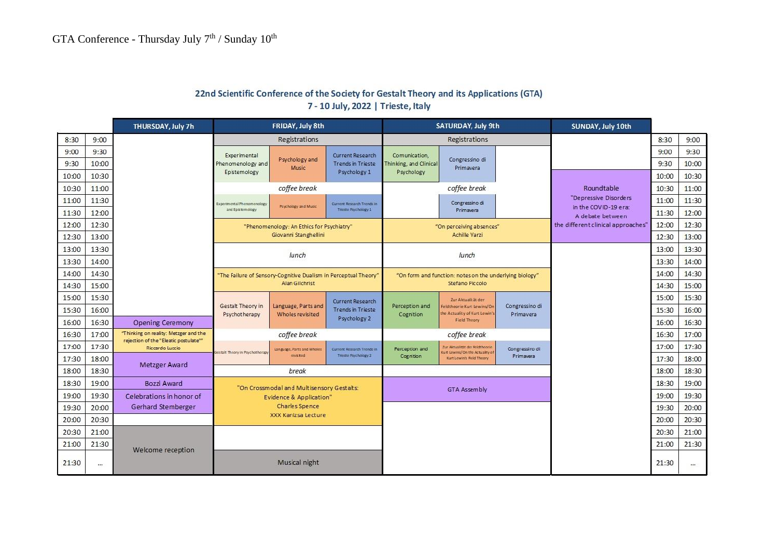|       |       |                                                          |                                                                                                          |                                         | $10.50$ $11.70$ $11.70$                            |                                                                            |                                                                                                       |                             |                                          |       |       |
|-------|-------|----------------------------------------------------------|----------------------------------------------------------------------------------------------------------|-----------------------------------------|----------------------------------------------------|----------------------------------------------------------------------------|-------------------------------------------------------------------------------------------------------|-----------------------------|------------------------------------------|-------|-------|
|       |       | FRIDAY, July 8th<br><b>THURSDAY, July 7h</b>             |                                                                                                          |                                         | SATURDAY, July 9th                                 |                                                                            |                                                                                                       | SUNDAY, July 10th           |                                          |       |       |
| 8:30  | 9:00  |                                                          | Registrations                                                                                            |                                         |                                                    | Registrations                                                              |                                                                                                       |                             |                                          | 8:30  | 9:00  |
| 9:00  | 9:30  |                                                          | Experimental                                                                                             |                                         | Current Research                                   | Comunication.                                                              |                                                                                                       |                             |                                          | 9:00  | 9:30  |
| 9:30  | 10:00 |                                                          | Phenomenology and                                                                                        | Psychology and<br>Music                 | <b>Trends in Trieste</b>                           | Thinking, and Clinical                                                     | Congressino di<br>Primavera                                                                           |                             |                                          | 9:30  | 10:00 |
| 10:00 | 10:30 |                                                          | Epistemology                                                                                             |                                         | Psychology 1                                       | Psychology                                                                 |                                                                                                       |                             |                                          | 10:00 | 10:30 |
| 10:30 | 11:00 |                                                          | coffee break                                                                                             |                                         |                                                    | coffee break                                                               |                                                                                                       |                             | Roundtable                               | 10:30 | 11:00 |
| 11:00 | 11:30 |                                                          | Experimental Phenomenology                                                                               |                                         | Current Research Trends in                         |                                                                            | Congressino di                                                                                        |                             | "Depressive Disorders                    | 11:00 | 11:30 |
| 11:30 | 12:00 |                                                          | and Epistemology                                                                                         | Psychology and Music                    | Trieste Psychology I                               |                                                                            | Primavera                                                                                             |                             | in the COVID-19 era:<br>A debate between | 11:30 | 12:00 |
| 12:00 | 12:30 |                                                          | "Phenomenology: An Ethics for Psychiatry"<br>Giovanni Stanghellini                                       |                                         |                                                    | "On perceiving absences"<br>Achille Varzi                                  |                                                                                                       |                             | the different clinical approaches"       | 12:00 | 12:30 |
| 12:30 | 13:00 |                                                          |                                                                                                          |                                         |                                                    |                                                                            |                                                                                                       |                             |                                          | 12:30 | 13:00 |
| 13:00 | 13:30 |                                                          |                                                                                                          |                                         |                                                    |                                                                            |                                                                                                       |                             |                                          | 13:00 | 13:30 |
| 13:30 | 14:00 |                                                          |                                                                                                          | lunch                                   |                                                    |                                                                            | lunch                                                                                                 |                             |                                          | 13:30 | 14:00 |
| 14:00 | 14:30 |                                                          | "The Failure of Sensory-Cognitive Dualism in Perceptual Theory"                                          |                                         |                                                    | "On form and function: notes on the underlying biology"<br>Stefano Piccolo |                                                                                                       |                             |                                          | 14:00 | 14:30 |
| 14:30 | 15:00 | Alan Gilchrist                                           |                                                                                                          |                                         |                                                    |                                                                            |                                                                                                       |                             |                                          | 14:30 | 15:00 |
| 15:00 | 15:30 |                                                          |                                                                                                          |                                         | <b>Current Research</b>                            |                                                                            | Zur Aktualität der                                                                                    |                             |                                          | 15:00 | 15:30 |
| 15:30 | 16:00 |                                                          | Gestalt Theory in<br>Psychotherapy                                                                       | Language, Parts and<br>Wholes revisited | <b>Trends in Trieste</b><br>Psychology 2           | Perception and<br>Cognition                                                | Feldtheorie Kurt Lewins/On<br>the Actuality of Kurt Lewin's<br>Field Theory                           | Congressino di<br>Primavera |                                          | 15:30 | 16:00 |
| 16:00 | 16:30 | <b>Opening Ceremony</b>                                  |                                                                                                          |                                         |                                                    |                                                                            |                                                                                                       |                             |                                          | 16:00 | 16:30 |
| 16:30 | 17:00 | "Thinking on reality: Metzger and the                    |                                                                                                          | coffee break                            |                                                    |                                                                            | coffee break                                                                                          |                             | 16:30                                    | 17:00 |       |
| 17:00 | 17:30 | rejection of the "Eleatic postulate""<br>Riccardo Luccio |                                                                                                          | Language, Parts and Wholes              | Current Research Trends in<br>Trieste Psychology 2 | Perception and<br>Cognition                                                | Zur Aktualität der Feldtheorie<br><b>Kurt Lewins/On the Actuality of</b><br>Kurt Lewin's Field Theory | Congressino di<br>Primavera |                                          | 17:00 | 17:30 |
| 17:30 | 18:00 |                                                          | estalt Theory in Psychotherapy                                                                           | revisited.                              |                                                    |                                                                            |                                                                                                       |                             |                                          | 17:30 | 18:00 |
| 18:00 | 18:30 | <b>Metzger Award</b>                                     |                                                                                                          | break                                   |                                                    |                                                                            |                                                                                                       |                             |                                          | 18:00 | 18:30 |
| 18:30 | 19:00 | Bozzi Award                                              | "On Crossmodal and Multisensory Gestalts:<br><b>Evidence &amp; Application"</b><br><b>Charles Spence</b> |                                         |                                                    | <b>GTA Assembly</b>                                                        |                                                                                                       |                             |                                          | 18:30 | 19:00 |
| 19:00 | 19:30 | Celebrations in honor of                                 |                                                                                                          |                                         |                                                    |                                                                            |                                                                                                       |                             |                                          | 19:00 | 19:30 |
| 19:30 | 20:00 | Gerhard Stemberger                                       |                                                                                                          |                                         |                                                    |                                                                            |                                                                                                       |                             |                                          | 19:30 | 20:00 |
| 20:00 | 20:30 | XXX Kanizsa Lecture                                      |                                                                                                          |                                         |                                                    |                                                                            |                                                                                                       |                             |                                          | 20:00 | 20:30 |
| 20:30 | 21:00 |                                                          |                                                                                                          |                                         |                                                    |                                                                            |                                                                                                       |                             |                                          | 20:30 | 21:00 |
| 21:00 | 21:30 |                                                          |                                                                                                          |                                         |                                                    |                                                                            |                                                                                                       |                             |                                          | 21:00 | 21:30 |
| 21:30 |       | Welcome reception                                        | Musical night                                                                                            |                                         |                                                    |                                                                            |                                                                                                       |                             |                                          | 21:30 |       |

#### 22nd Scientific Conference of the Society for Gestalt Theory and its Applications (GTA) 7 - 10 July, 2022 | Trieste, Italy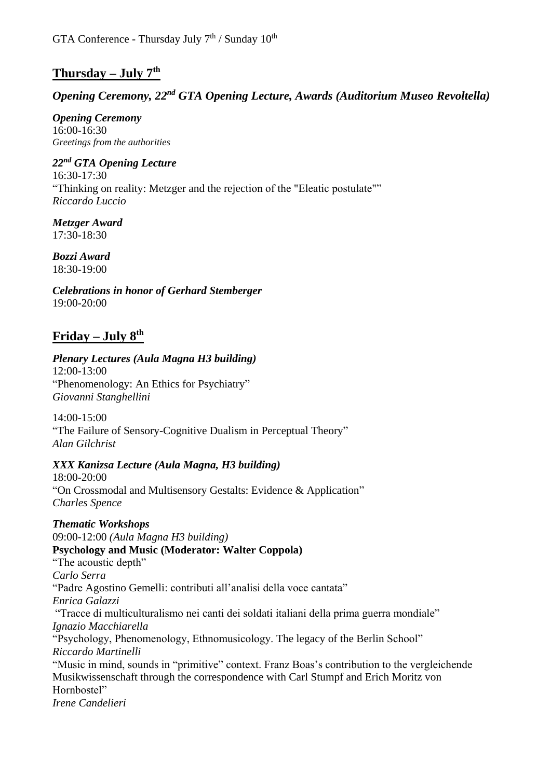## **Thursday – July 7th**

## *Opening Ceremony, 22nd GTA Opening Lecture, Awards (Auditorium Museo Revoltella)*

*Opening Ceremony* 16:00-16:30 *Greetings from the authorities*

## *22nd GTA Opening Lecture*

16:30-17:30 "Thinking on reality: Metzger and the rejection of the "Eleatic postulate"" *Riccardo Luccio*

*Metzger Award* 17:30-18:30

*Bozzi Award* 18:30-19:00

*Celebrations in honor of Gerhard Stemberger* 19:00-20:00

## **Friday – July 8th**

## *Plenary Lectures (Aula Magna H3 building)*

12:00-13:00 "Phenomenology: An Ethics for Psychiatry" *Giovanni Stanghellini*

14:00-15:00 "The Failure of Sensory-Cognitive Dualism in Perceptual Theory" *Alan Gilchrist*

#### *XXX Kanizsa Lecture (Aula Magna, H3 building)*

18:00-20:00 "On Crossmodal and Multisensory Gestalts: Evidence & Application" *Charles Spence*

*Thematic Workshops* 09:00-12:00 *(Aula Magna H3 building)* **Psychology and Music (Moderator: Walter Coppola)** "The acoustic depth" *Carlo Serra*  "Padre Agostino Gemelli: contributi all'analisi della voce cantata" *Enrica Galazzi* "Tracce di multiculturalismo nei canti dei soldati italiani della prima guerra mondiale" *Ignazio Macchiarella* "Psychology, Phenomenology, Ethnomusicology. The legacy of the Berlin School" *Riccardo Martinelli* "Music in mind, sounds in "primitive" context. Franz Boas's contribution to the vergleichende Musikwissenschaft through the correspondence with Carl Stumpf and Erich Moritz von Hornbostel" *Irene Candelieri*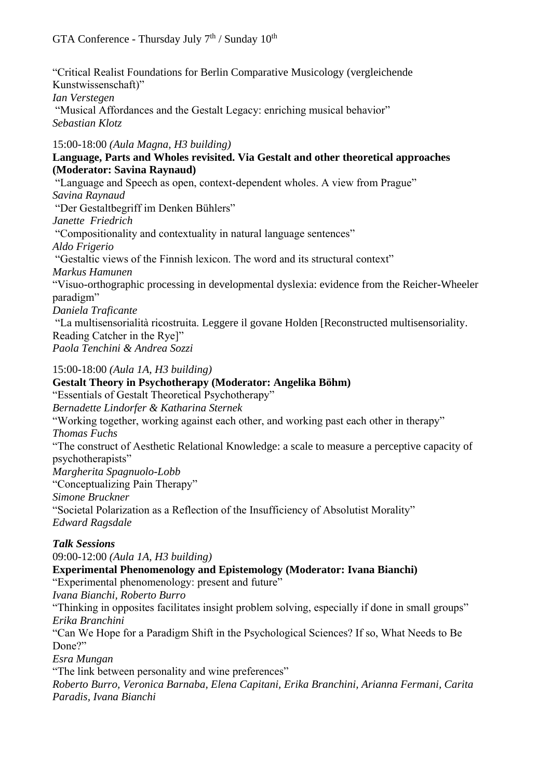"Critical Realist Foundations for Berlin Comparative Musicology (vergleichende Kunstwissenschaft)" *Ian Verstegen* "Musical Affordances and the Gestalt Legacy: enriching musical behavior" *Sebastian Klotz* 

15:00-18:00 *(Aula Magna, H3 building)*

#### **Language, Parts and Wholes revisited. Via Gestalt and other theoretical approaches (Moderator: Savina Raynaud)**

"Language and Speech as open, context-dependent wholes. A view from Prague" *Savina Raynaud*  "Der Gestaltbegriff im Denken Bühlers" *Janette Friedrich*  "Compositionality and contextuality in natural language sentences" *Aldo Frigerio* "Gestaltic views of the Finnish lexicon. The word and its structural context" *Markus Hamunen* "Visuo-orthographic processing in developmental dyslexia: evidence from the Reicher-Wheeler paradigm" *Daniela Traficante* "La multisensorialità ricostruita. Leggere il govane Holden [Reconstructed multisensoriality. Reading Catcher in the Rye]" *Paola Tenchini & Andrea Sozzi*  15:00-18:00 *(Aula 1A, H3 building)*

**Gestalt Theory in Psychotherapy (Moderator: Angelika Böhm)** "Essentials of Gestalt Theoretical Psychotherapy" *Bernadette Lindorfer & Katharina Sternek* "Working together, working against each other, and working past each other in therapy" *Thomas Fuchs* "The construct of Aesthetic Relational Knowledge: a scale to measure a perceptive capacity of psychotherapists" *Margherita Spagnuolo-Lobb*  "Conceptualizing Pain Therapy" *Simone Bruckner* "Societal Polarization as a Reflection of the Insufficiency of Absolutist Morality" *Edward Ragsdale*

#### *Talk Sessions*

09:00-12:00 *(Aula 1A, H3 building)* **Experimental Phenomenology and Epistemology (Moderator: Ivana Bianchi)** "Experimental phenomenology: present and future" *Ivana Bianchi, Roberto Burro* "Thinking in opposites facilitates insight problem solving, especially if done in small groups" *Erika Branchini*  "Can We Hope for a Paradigm Shift in the Psychological Sciences? If so, What Needs to Be Done?" *Esra Mungan* "The link between personality and wine preferences" *Roberto Burro, Veronica Barnaba, Elena Capitani, Erika Branchini, Arianna Fermani, Carita Paradis, Ivana Bianchi*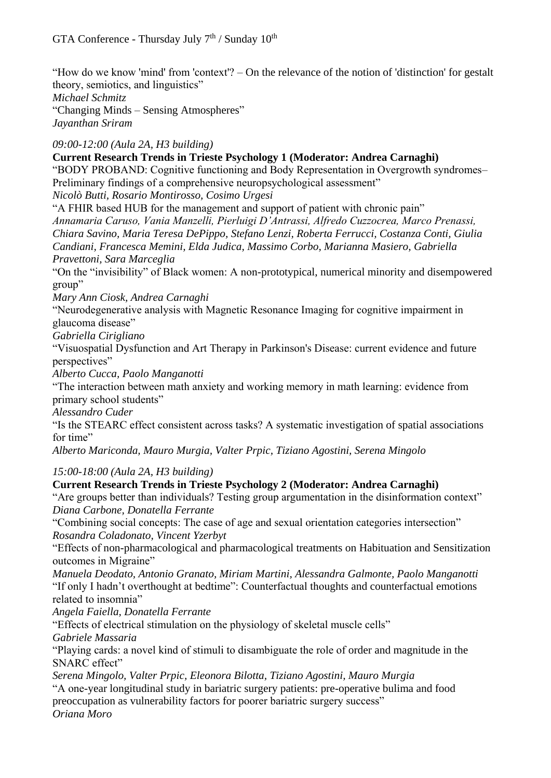"How do we know 'mind' from 'context'? – On the relevance of the notion of 'distinction' for gestalt theory, semiotics, and linguistics" *Michael Schmitz* "Changing Minds – Sensing Atmospheres" *Jayanthan Sriram*

*09:00-12:00 (Aula 2A, H3 building)*

**Current Research Trends in Trieste Psychology 1 (Moderator: Andrea Carnaghi)** "BODY PROBAND: Cognitive functioning and Body Representation in Overgrowth syndromes– Preliminary findings of a comprehensive neuropsychological assessment" *Nicolò Butti, Rosario Montirosso, Cosimo Urgesi* "A FHIR based HUB for the management and support of patient with chronic pain"

*Annamaria Caruso, Vania Manzelli, Pierluigi D'Antrassi, Alfredo Cuzzocrea, Marco Prenassi, Chiara Savino, Maria Teresa DePippo, Stefano Lenzi, Roberta Ferrucci, Costanza Conti, Giulia Candiani, Francesca Memini, Elda Judica, Massimo Corbo, Marianna Masiero, Gabriella Pravettoni, Sara Marceglia*

"On the "invisibility" of Black women: A non-prototypical, numerical minority and disempowered group"

*Mary Ann Ciosk, Andrea Carnaghi* 

"Neurodegenerative analysis with Magnetic Resonance Imaging for cognitive impairment in glaucoma disease"

*Gabriella Cirigliano*

"Visuospatial Dysfunction and Art Therapy in Parkinson's Disease: current evidence and future perspectives"

*Alberto Cucca, Paolo Manganotti* 

"The interaction between math anxiety and working memory in math learning: evidence from primary school students"

*Alessandro Cuder* 

"Is the STEARC effect consistent across tasks? A systematic investigation of spatial associations for time"

*Alberto Mariconda, Mauro Murgia, Valter Prpic, Tiziano Agostini, Serena Mingolo* 

*15:00-18:00 (Aula 2A, H3 building)*

#### **Current Research Trends in Trieste Psychology 2 (Moderator: Andrea Carnaghi)**

"Are groups better than individuals? Testing group argumentation in the disinformation context" *Diana Carbone, Donatella Ferrante* 

"Combining social concepts: The case of age and sexual orientation categories intersection" *Rosandra Coladonato, Vincent Yzerbyt* 

"Effects of non-pharmacological and pharmacological treatments on Habituation and Sensitization outcomes in Migraine"

*Manuela Deodato, Antonio Granato, Miriam Martini, Alessandra Galmonte, Paolo Manganotti* "If only I hadn't overthought at bedtime": Counterfactual thoughts and counterfactual emotions related to insomnia"

*Angela Faiella, Donatella Ferrante* 

"Effects of electrical stimulation on the physiology of skeletal muscle cells"

*Gabriele Massaria*

"Playing cards: a novel kind of stimuli to disambiguate the role of order and magnitude in the SNARC effect"

*Serena Mingolo, Valter Prpic, Eleonora Bilotta, Tiziano Agostini, Mauro Murgia* "A one-year longitudinal study in bariatric surgery patients: pre-operative bulima and food preoccupation as vulnerability factors for poorer bariatric surgery success" *Oriana Moro*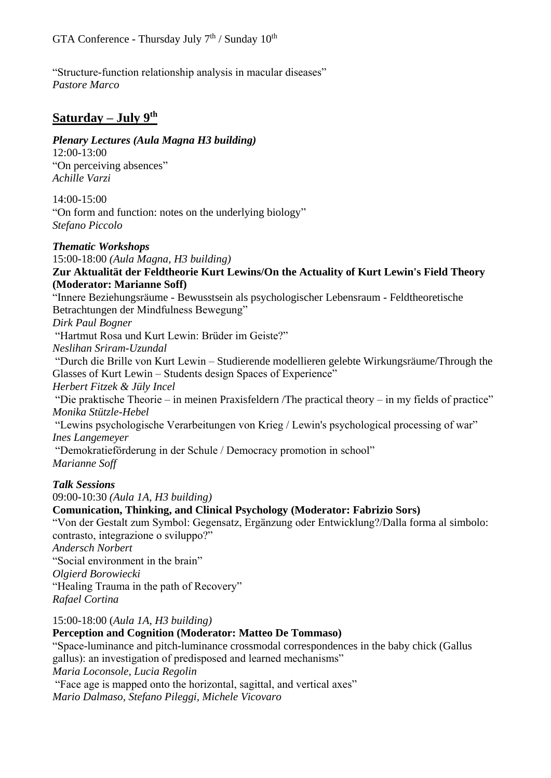"Structure-function relationship analysis in macular diseases" *Pastore Marco*

## **Saturday – July 9th**

*Plenary Lectures (Aula Magna H3 building)*

12:00-13:00 "On perceiving absences" *Achille Varzi*

 $14:00-15:00$ "On form and function: notes on the underlying biology" *Stefano Piccolo*

*Thematic Workshops*

15:00-18:00 *(Aula Magna, H3 building)*

#### **Zur Aktualität der Feldtheorie Kurt Lewins/On the Actuality of Kurt Lewin's Field Theory (Moderator: Marianne Soff)**

"Innere Beziehungsräume - Bewusstsein als psychologischer Lebensraum - Feldtheoretische Betrachtungen der Mindfulness Bewegung"

*Dirk Paul Bogner*

"Hartmut Rosa und Kurt Lewin: Brüder im Geiste?"

*Neslihan Sriram-Uzundal* 

"Durch die Brille von Kurt Lewin – Studierende modellieren gelebte Wirkungsräume/Through the Glasses of Kurt Lewin – Students design Spaces of Experience"

*Herbert Fitzek & Jüly Incel* 

"Die praktische Theorie – in meinen Praxisfeldern /The practical theory – in my fields of practice" *Monika Stützle-Hebel*

"Lewins psychologische Verarbeitungen von Krieg / Lewin's psychological processing of war" *Ines Langemeyer*

"Demokratieförderung in der Schule / Democracy promotion in school"

*Marianne Soff* 

#### *Talk Sessions*

09:00-10:30 *(Aula 1A, H3 building)*

#### **Comunication, Thinking, and Clinical Psychology (Moderator: Fabrizio Sors)**

"Von der Gestalt zum Symbol: Gegensatz, Ergänzung oder Entwicklung?/Dalla forma al simbolo: contrasto, integrazione o sviluppo?"

*Andersch Norbert*

"Social environment in the brain"

*Olgierd Borowiecki* 

"Healing Trauma in the path of Recovery"

*Rafael Cortina*

15:00-18:00 (*Aula 1A, H3 building)*

#### **Perception and Cognition (Moderator: Matteo De Tommaso)**

"Space-luminance and pitch-luminance crossmodal correspondences in the baby chick (Gallus gallus): an investigation of predisposed and learned mechanisms" *Maria Loconsole, Lucia Regolin*

"Face age is mapped onto the horizontal, sagittal, and vertical axes" *Mario Dalmaso, Stefano Pileggi, Michele Vicovaro*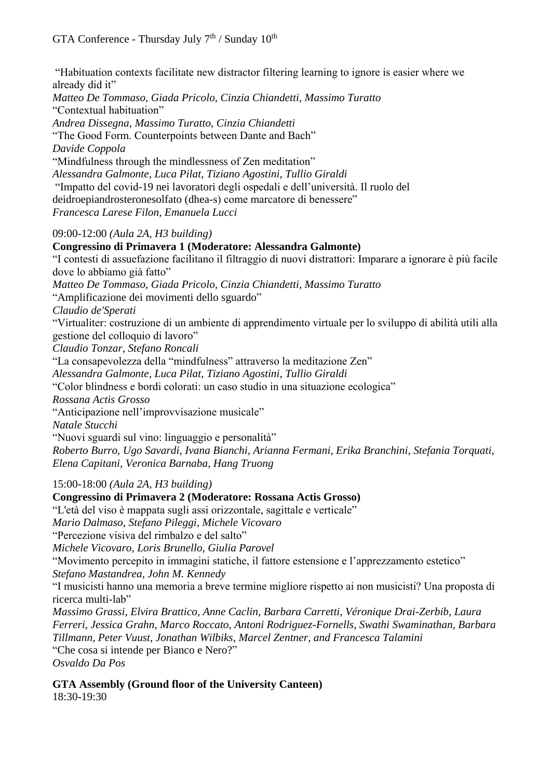"Habituation contexts facilitate new distractor filtering learning to ignore is easier where we already did it"

*Matteo De Tommaso, Giada Pricolo, Cinzia Chiandetti, Massimo Turatto*  "Contextual habituation" *Andrea Dissegna, Massimo Turatto, Cinzia Chiandetti*  "The Good Form. Counterpoints between Dante and Bach" *Davide Coppola* "Mindfulness through the mindlessness of Zen meditation" *Alessandra Galmonte, Luca Pilat, Tiziano Agostini, Tullio Giraldi* "Impatto del covid-19 nei lavoratori degli ospedali e dell'università. Il ruolo del deidroepiandrosteronesolfato (dhea-s) come marcatore di benessere" *Francesca Larese Filon, Emanuela Lucci*

09:00-12:00 *(Aula 2A, H3 building)*

**Congressino di Primavera 1 (Moderatore: Alessandra Galmonte)**

"I contesti di assuefazione facilitano il filtraggio di nuovi distrattori: Imparare a ignorare è più facile dove lo abbiamo già fatto"

*Matteo De Tommaso, Giada Pricolo, Cinzia Chiandetti, Massimo Turatto*

"Amplificazione dei movimenti dello sguardo"

*Claudio de'Sperati*

"Virtualiter: costruzione di un ambiente di apprendimento virtuale per lo sviluppo di abilità utili alla gestione del colloquio di lavoro"

*Claudio Tonzar, Stefano Roncali*

"La consapevolezza della "mindfulness" attraverso la meditazione Zen"

*Alessandra Galmonte, Luca Pilat, Tiziano Agostini, Tullio Giraldi*

"Color blindness e bordi colorati: un caso studio in una situazione ecologica"

*Rossana Actis Grosso* 

"Anticipazione nell'improvvisazione musicale"

*Natale Stucchi*

"Nuovi sguardi sul vino: linguaggio e personalità"

*Roberto Burro, Ugo Savardi, Ivana Bianchi, Arianna Fermani, Erika Branchini, Stefania Torquati, Elena Capitani, Veronica Barnaba, Hang Truong*

15:00-18:00 *(Aula 2A, H3 building)*

**Congressino di Primavera 2 (Moderatore: Rossana Actis Grosso)** "L'età del viso è mappata sugli assi orizzontale, sagittale e verticale" *Mario Dalmaso, Stefano Pileggi, Michele Vicovaro* "Percezione visiva del rimbalzo e del salto" *Michele Vicovaro, Loris Brunello, Giulia Parovel* "Movimento percepito in immagini statiche, il fattore estensione e l'apprezzamento estetico" *Stefano Mastandrea, John M. Kennedy* "I musicisti hanno una memoria a breve termine migliore rispetto ai non musicisti? Una proposta di ricerca multi-lab" *Massimo Grassi, Elvira Brattico, Anne Caclin, Barbara Carretti, Véronique Drai-Zerbib, Laura Ferreri, Jessica Grahn, Marco Roccato, Antoni Rodriguez-Fornells, Swathi Swaminathan, Barbara Tillmann, Peter Vuust, Jonathan Wilbiks, Marcel Zentner, and Francesca Talamini* "Che cosa si intende per Bianco e Nero?" *Osvaldo Da Pos*

**GTA Assembly (Ground floor of the University Canteen)** 18:30-19:30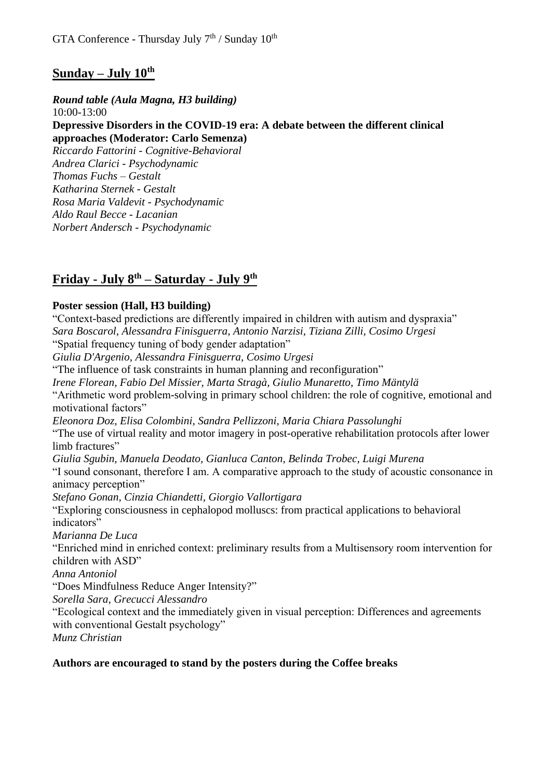## **Sunday – July 10th**

*Round table (Aula Magna, H3 building)* 10:00-13:00 **Depressive Disorders in the COVID-19 era: A debate between the different clinical approaches (Moderator: Carlo Semenza)**

*Riccardo Fattorini - Cognitive-Behavioral Andrea Clarici - Psychodynamic Thomas Fuchs – Gestalt Katharina Sternek - Gestalt Rosa Maria Valdevit - Psychodynamic Aldo Raul Becce - Lacanian Norbert Andersch - Psychodynamic*

## **Friday - July 8th – Saturday - July 9th**

#### **Poster session (Hall, H3 building)**

"Context-based predictions are differently impaired in children with autism and dyspraxia" *Sara Boscarol, Alessandra Finisguerra, Antonio Narzisi, Tiziana Zilli, Cosimo Urgesi* "Spatial frequency tuning of body gender adaptation" *Giulia D'Argenio, Alessandra Finisguerra, Cosimo Urgesi* "The influence of task constraints in human planning and reconfiguration" *Irene Florean, Fabio Del Missier, Marta Stragà, Giulio Munaretto, Timo Mäntylä*  "Arithmetic word problem-solving in primary school children: the role of cognitive, emotional and motivational factors" *Eleonora Doz, Elisa Colombini, Sandra Pellizzoni, Maria Chiara Passolunghi*  "The use of virtual reality and motor imagery in post-operative rehabilitation protocols after lower limb fractures" *Giulia Sgubin, Manuela Deodato, Gianluca Canton, Belinda Trobec, Luigi Murena* "I sound consonant, therefore I am. A comparative approach to the study of acoustic consonance in animacy perception" *Stefano Gonan, Cinzia Chiandetti, Giorgio Vallortigara*  "Exploring consciousness in cephalopod molluscs: from practical applications to behavioral indicators" *Marianna De Luca*  "Enriched mind in enriched context: preliminary results from a Multisensory room intervention for children with ASD" *Anna Antoniol*  "Does Mindfulness Reduce Anger Intensity?" *Sorella Sara, Grecucci Alessandro* "Ecological context and the immediately given in visual perception: Differences and agreements with conventional Gestalt psychology" *Munz Christian* 

#### **Authors are encouraged to stand by the posters during the Coffee breaks**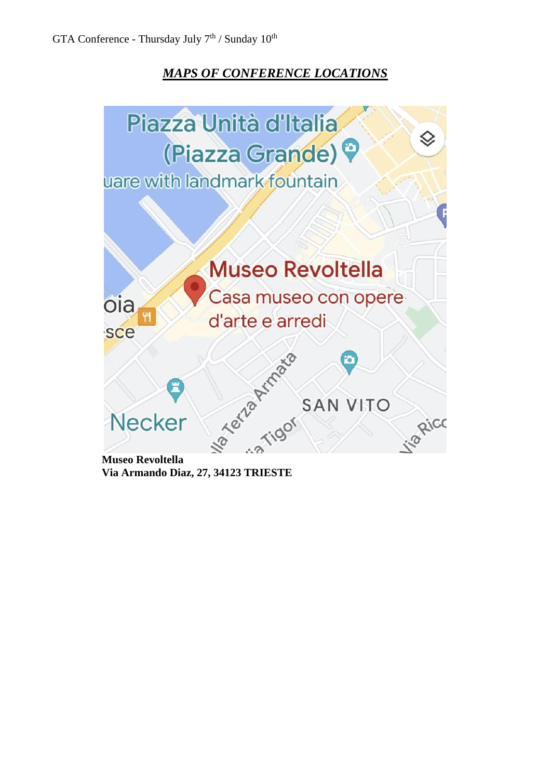## *MAPS OF CONFERENCE LOCATIONS*